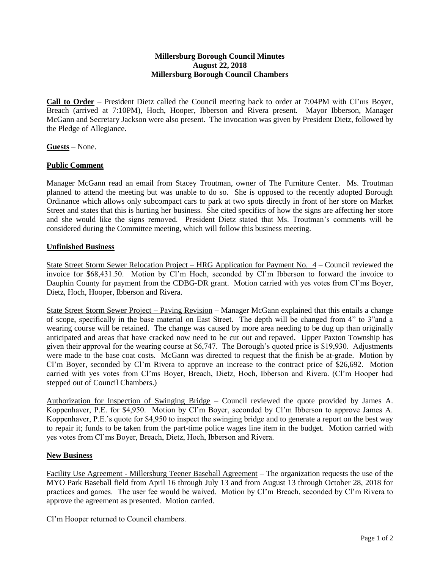## **Millersburg Borough Council Minutes August 22, 2018 Millersburg Borough Council Chambers**

**Call to Order** – President Dietz called the Council meeting back to order at 7:04PM with Cl'ms Boyer, Breach (arrived at 7:10PM), Hoch, Hooper, Ibberson and Rivera present. Mayor Ibberson, Manager McGann and Secretary Jackson were also present. The invocation was given by President Dietz, followed by the Pledge of Allegiance.

**Guests** – None.

## **Public Comment**

Manager McGann read an email from Stacey Troutman, owner of The Furniture Center. Ms. Troutman planned to attend the meeting but was unable to do so. She is opposed to the recently adopted Borough Ordinance which allows only subcompact cars to park at two spots directly in front of her store on Market Street and states that this is hurting her business. She cited specifics of how the signs are affecting her store and she would like the signs removed. President Dietz stated that Ms. Troutman's comments will be considered during the Committee meeting, which will follow this business meeting.

## **Unfinished Business**

State Street Storm Sewer Relocation Project – HRG Application for Payment No. 4 – Council reviewed the invoice for \$68,431.50. Motion by Cl'm Hoch, seconded by Cl'm Ibberson to forward the invoice to Dauphin County for payment from the CDBG-DR grant. Motion carried with yes votes from Cl'ms Boyer, Dietz, Hoch, Hooper, Ibberson and Rivera.

State Street Storm Sewer Project – Paving Revision – Manager McGann explained that this entails a change of scope, specifically in the base material on East Street. The depth will be changed from 4" to 3"and a wearing course will be retained. The change was caused by more area needing to be dug up than originally anticipated and areas that have cracked now need to be cut out and repaved. Upper Paxton Township has given their approval for the wearing course at \$6,747. The Borough's quoted price is \$19,930. Adjustments were made to the base coat costs. McGann was directed to request that the finish be at-grade. Motion by Cl'm Boyer, seconded by Cl'm Rivera to approve an increase to the contract price of \$26,692. Motion carried with yes votes from Cl'ms Boyer, Breach, Dietz, Hoch, Ibberson and Rivera. (Cl'm Hooper had stepped out of Council Chambers.)

Authorization for Inspection of Swinging Bridge – Council reviewed the quote provided by James A. Koppenhaver, P.E. for \$4,950. Motion by Cl'm Boyer, seconded by Cl'm Ibberson to approve James A. Koppenhaver, P.E.'s quote for \$4,950 to inspect the swinging bridge and to generate a report on the best way to repair it; funds to be taken from the part-time police wages line item in the budget. Motion carried with yes votes from Cl'ms Boyer, Breach, Dietz, Hoch, Ibberson and Rivera.

## **New Business**

Facility Use Agreement - Millersburg Teener Baseball Agreement – The organization requests the use of the MYO Park Baseball field from April 16 through July 13 and from August 13 through October 28, 2018 for practices and games. The user fee would be waived. Motion by Cl'm Breach, seconded by Cl'm Rivera to approve the agreement as presented. Motion carried.

Cl'm Hooper returned to Council chambers.